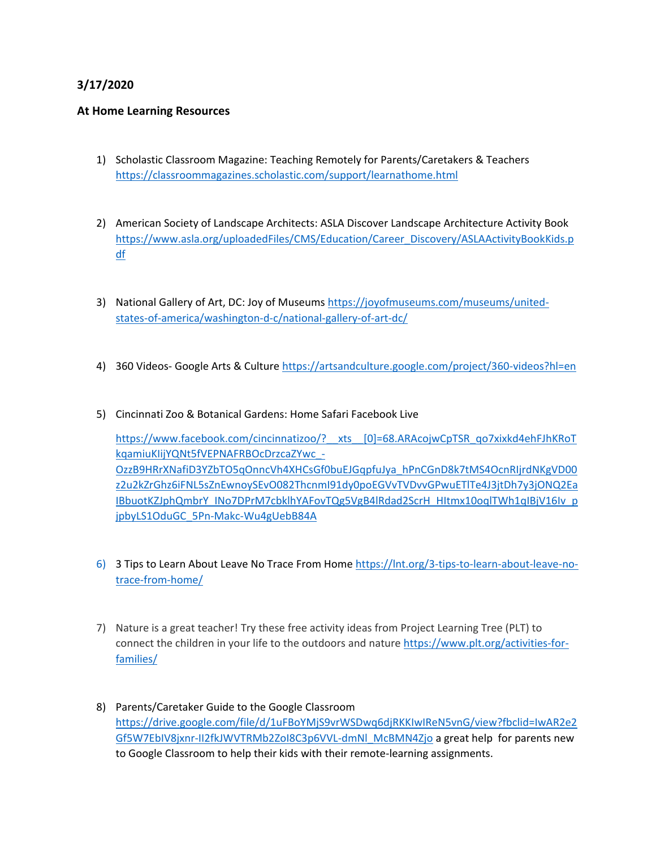# **3/17/2020**

#### **At Home Learning Resources**

- 1) Scholastic Classroom Magazine: Teaching Remotely for Parents/Caretakers & Teachers <https://classroommagazines.scholastic.com/support/learnathome.html>
- 2) American Society of Landscape Architects: ASLA Discover Landscape Architecture Activity Book [https://www.asla.org/uploadedFiles/CMS/Education/Career\\_Discovery/ASLAActivityBookKids.p](https://www.asla.org/uploadedFiles/CMS/Education/Career_Discovery/ASLAActivityBookKids.pdf) [df](https://www.asla.org/uploadedFiles/CMS/Education/Career_Discovery/ASLAActivityBookKids.pdf)
- 3) National Gallery of Art, DC: Joy of Museums [https://joyofmuseums.com/museums/united](https://joyofmuseums.com/museums/united-states-of-america/washington-d-c/national-gallery-of-art-dc/)[states-of-america/washington-d-c/national-gallery-of-art-dc/](https://joyofmuseums.com/museums/united-states-of-america/washington-d-c/national-gallery-of-art-dc/)
- 4) 360 Videos- Google Arts & Culture<https://artsandculture.google.com/project/360-videos?hl=en>
- 5) Cincinnati Zoo & Botanical Gardens: Home Safari Facebook Live

[https://www.facebook.com/cincinnatizoo/?\\_\\_xts\\_\\_\[0\]=68.ARAcojwCpTSR\\_qo7xixkd4ehFJhKRoT](https://www.facebook.com/cincinnatizoo/?__xts__%5b0%5d=68.ARAcojwCpTSR_qo7xixkd4ehFJhKRoTkqamiuKIijYQNt5fVEPNAFRBOcDrzcaZYwc_-OzzB9HRrXNafiD3YZbTO5qOnncVh4XHCsGf0buEJGqpfuJya_hPnCGnD8k7tMS4OcnRIjrdNKgVD00z2u2kZrGhz6iFNL5sZnEwnoySEvO082ThcnmI91dy0poEGVvTVDvvGPwuETlTe4J3jtDh7y3jONQ2EaIBbuotKZJphQmbrY_INo7DPrM7cbklhYAFovTQg5VgB4lRdad2ScrH_HItmx10oqlTWh1qIBjV16Iv_pjpbyLS1OduGC_5Pn-Makc-Wu4gUebB84A) [kqamiuKIijYQNt5fVEPNAFRBOcDrzcaZYwc\\_-](https://www.facebook.com/cincinnatizoo/?__xts__%5b0%5d=68.ARAcojwCpTSR_qo7xixkd4ehFJhKRoTkqamiuKIijYQNt5fVEPNAFRBOcDrzcaZYwc_-OzzB9HRrXNafiD3YZbTO5qOnncVh4XHCsGf0buEJGqpfuJya_hPnCGnD8k7tMS4OcnRIjrdNKgVD00z2u2kZrGhz6iFNL5sZnEwnoySEvO082ThcnmI91dy0poEGVvTVDvvGPwuETlTe4J3jtDh7y3jONQ2EaIBbuotKZJphQmbrY_INo7DPrM7cbklhYAFovTQg5VgB4lRdad2ScrH_HItmx10oqlTWh1qIBjV16Iv_pjpbyLS1OduGC_5Pn-Makc-Wu4gUebB84A) [OzzB9HRrXNafiD3YZbTO5qOnncVh4XHCsGf0buEJGqpfuJya\\_hPnCGnD8k7tMS4OcnRIjrdNKgVD00](https://www.facebook.com/cincinnatizoo/?__xts__%5b0%5d=68.ARAcojwCpTSR_qo7xixkd4ehFJhKRoTkqamiuKIijYQNt5fVEPNAFRBOcDrzcaZYwc_-OzzB9HRrXNafiD3YZbTO5qOnncVh4XHCsGf0buEJGqpfuJya_hPnCGnD8k7tMS4OcnRIjrdNKgVD00z2u2kZrGhz6iFNL5sZnEwnoySEvO082ThcnmI91dy0poEGVvTVDvvGPwuETlTe4J3jtDh7y3jONQ2EaIBbuotKZJphQmbrY_INo7DPrM7cbklhYAFovTQg5VgB4lRdad2ScrH_HItmx10oqlTWh1qIBjV16Iv_pjpbyLS1OduGC_5Pn-Makc-Wu4gUebB84A) [z2u2kZrGhz6iFNL5sZnEwnoySEvO082ThcnmI91dy0poEGVvTVDvvGPwuETlTe4J3jtDh7y3jONQ2Ea](https://www.facebook.com/cincinnatizoo/?__xts__%5b0%5d=68.ARAcojwCpTSR_qo7xixkd4ehFJhKRoTkqamiuKIijYQNt5fVEPNAFRBOcDrzcaZYwc_-OzzB9HRrXNafiD3YZbTO5qOnncVh4XHCsGf0buEJGqpfuJya_hPnCGnD8k7tMS4OcnRIjrdNKgVD00z2u2kZrGhz6iFNL5sZnEwnoySEvO082ThcnmI91dy0poEGVvTVDvvGPwuETlTe4J3jtDh7y3jONQ2EaIBbuotKZJphQmbrY_INo7DPrM7cbklhYAFovTQg5VgB4lRdad2ScrH_HItmx10oqlTWh1qIBjV16Iv_pjpbyLS1OduGC_5Pn-Makc-Wu4gUebB84A) [IBbuotKZJphQmbrY\\_INo7DPrM7cbklhYAFovTQg5VgB4lRdad2ScrH\\_HItmx10oqlTWh1qIBjV16Iv\\_p](https://www.facebook.com/cincinnatizoo/?__xts__%5b0%5d=68.ARAcojwCpTSR_qo7xixkd4ehFJhKRoTkqamiuKIijYQNt5fVEPNAFRBOcDrzcaZYwc_-OzzB9HRrXNafiD3YZbTO5qOnncVh4XHCsGf0buEJGqpfuJya_hPnCGnD8k7tMS4OcnRIjrdNKgVD00z2u2kZrGhz6iFNL5sZnEwnoySEvO082ThcnmI91dy0poEGVvTVDvvGPwuETlTe4J3jtDh7y3jONQ2EaIBbuotKZJphQmbrY_INo7DPrM7cbklhYAFovTQg5VgB4lRdad2ScrH_HItmx10oqlTWh1qIBjV16Iv_pjpbyLS1OduGC_5Pn-Makc-Wu4gUebB84A) [jpbyLS1OduGC\\_5Pn-Makc-Wu4gUebB84A](https://www.facebook.com/cincinnatizoo/?__xts__%5b0%5d=68.ARAcojwCpTSR_qo7xixkd4ehFJhKRoTkqamiuKIijYQNt5fVEPNAFRBOcDrzcaZYwc_-OzzB9HRrXNafiD3YZbTO5qOnncVh4XHCsGf0buEJGqpfuJya_hPnCGnD8k7tMS4OcnRIjrdNKgVD00z2u2kZrGhz6iFNL5sZnEwnoySEvO082ThcnmI91dy0poEGVvTVDvvGPwuETlTe4J3jtDh7y3jONQ2EaIBbuotKZJphQmbrY_INo7DPrM7cbklhYAFovTQg5VgB4lRdad2ScrH_HItmx10oqlTWh1qIBjV16Iv_pjpbyLS1OduGC_5Pn-Makc-Wu4gUebB84A)

- 6) 3 Tips to Learn About Leave No Trace From Home [https://lnt.org/3-tips-to-learn-about-leave-no](https://lnt.org/3-tips-to-learn-about-leave-no-trace-from-home/)[trace-from-home/](https://lnt.org/3-tips-to-learn-about-leave-no-trace-from-home/)
- 7) Nature is a great teacher! Try these free activity ideas from Project Learning Tree (PLT) to connect the children in your life to the outdoors and nature [https://www.plt.org/activities-for](https://www.plt.org/activities-for-families/)[families/](https://www.plt.org/activities-for-families/)
- 8) Parents/Caretaker Guide to the Google Classroom [https://drive.google.com/file/d/1uFBoYMjS9vrWSDwq6djRKKIwIReN5vnG/view?fbclid=IwAR2e2](https://drive.google.com/file/d/1uFBoYMjS9vrWSDwq6djRKKIwIReN5vnG/view?fbclid=IwAR2e2Gf5W7EbIV8jxnr-II2fkJWVTRMb2ZoI8C3p6VVL-dmNl_McBMN4Zjo) [Gf5W7EbIV8jxnr-II2fkJWVTRMb2ZoI8C3p6VVL-dmNl\\_McBMN4Zjo](https://drive.google.com/file/d/1uFBoYMjS9vrWSDwq6djRKKIwIReN5vnG/view?fbclid=IwAR2e2Gf5W7EbIV8jxnr-II2fkJWVTRMb2ZoI8C3p6VVL-dmNl_McBMN4Zjo) a great help for parents new to Google Classroom to help their kids with their remote-learning assignments.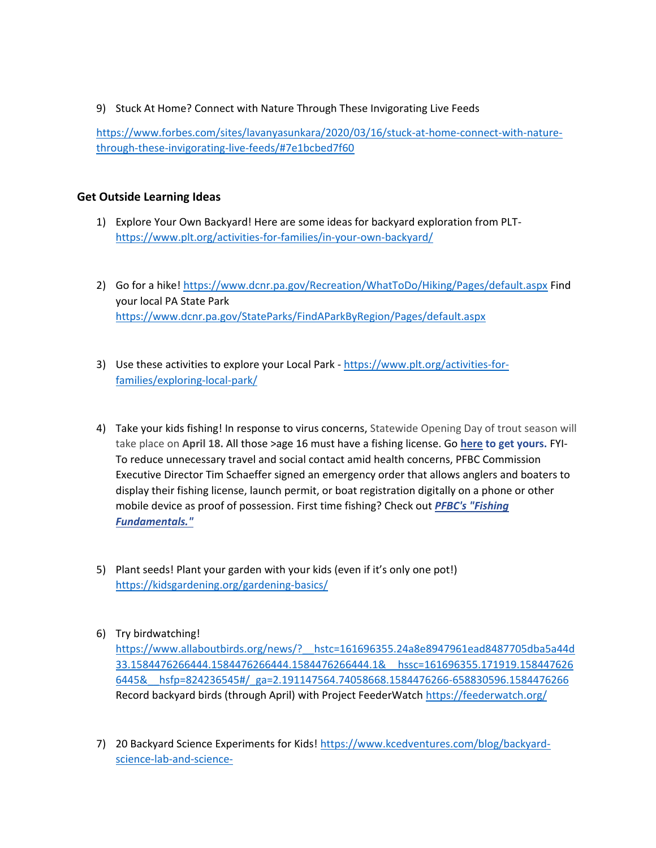9) Stuck At Home? Connect with Nature Through These Invigorating Live Feeds

[https://www.forbes.com/sites/lavanyasunkara/2020/03/16/stuck-at-home-connect-with-nature](https://www.forbes.com/sites/lavanyasunkara/2020/03/16/stuck-at-home-connect-with-nature-through-these-invigorating-live-feeds/#7e1bcbed7f60)[through-these-invigorating-live-feeds/#7e1bcbed7f60](https://www.forbes.com/sites/lavanyasunkara/2020/03/16/stuck-at-home-connect-with-nature-through-these-invigorating-live-feeds/#7e1bcbed7f60)

#### **Get Outside Learning Ideas**

- 1) Explore Your Own Backyard! Here are some ideas for backyard exploration from PLT<https://www.plt.org/activities-for-families/in-your-own-backyard/>
- 2) Go for a hike!<https://www.dcnr.pa.gov/Recreation/WhatToDo/Hiking/Pages/default.aspx> Find your local PA State Park <https://www.dcnr.pa.gov/StateParks/FindAParkByRegion/Pages/default.aspx>
- 3) Use these activities to explore your Local Park [https://www.plt.org/activities-for](https://www.plt.org/activities-for-families/exploring-local-park/)[families/exploring-local-park/](https://www.plt.org/activities-for-families/exploring-local-park/)
- 4) Take your kids fishing! In response to virus concerns, Statewide Opening Day of trout season will take place on **April 18.** All those >age 16 must have a fishing license. Go **[here](https://www.gonefishingpa.com/) to get yours.** FYI-To reduce unnecessary travel and social contact amid health concerns, PFBC Commission Executive Director Tim Schaeffer signed an emergency order that allows anglers and boaters to display their fishing license, launch permit, or boat registration digitally on a phone or other mobile device as proof of possession. First time fishing? Check out *[PFBC's "Fishing](https://www.fishandboat.com/Fish/FishingFundamentals/Pages/default.aspx)  [Fundamentals."](https://www.fishandboat.com/Fish/FishingFundamentals/Pages/default.aspx)*
- 5) Plant seeds! Plant your garden with your kids (even if it's only one pot!) <https://kidsgardening.org/gardening-basics/>
- 6) Try birdwatching!

[https://www.allaboutbirds.org/news/?\\_\\_hstc=161696355.24a8e8947961ead8487705dba5a44d](https://www.allaboutbirds.org/news/?__hstc=161696355.24a8e8947961ead8487705dba5a44d33.1584476266444.1584476266444.1584476266444.1&__hssc=161696355.171919.1584476266445&__hsfp=824236545#/_ga=2.191147564.74058668.1584476266-658830596.1584476266) [33.1584476266444.1584476266444.1584476266444.1&\\_\\_hssc=161696355.171919.158447626](https://www.allaboutbirds.org/news/?__hstc=161696355.24a8e8947961ead8487705dba5a44d33.1584476266444.1584476266444.1584476266444.1&__hssc=161696355.171919.1584476266445&__hsfp=824236545#/_ga=2.191147564.74058668.1584476266-658830596.1584476266) [6445&\\_\\_hsfp=824236545#/\\_ga=2.191147564.74058668.1584476266-658830596.1584476266](https://www.allaboutbirds.org/news/?__hstc=161696355.24a8e8947961ead8487705dba5a44d33.1584476266444.1584476266444.1584476266444.1&__hssc=161696355.171919.1584476266445&__hsfp=824236545#/_ga=2.191147564.74058668.1584476266-658830596.1584476266) Record backyard birds (through April) with Project FeederWatch<https://feederwatch.org/>

7) 20 Backyard Science Experiments for Kids! [https://www.kcedventures.com/blog/backyard](https://www.kcedventures.com/blog/backyard-science-lab-and-science-experiments?fbclid=IwAR2gKwei4MVJBcNqf2Q1hZ_7Pr_d1ClcJWHJOFbT3fm6T-O-x33AoEDdW2E)[science-lab-and-science-](https://www.kcedventures.com/blog/backyard-science-lab-and-science-experiments?fbclid=IwAR2gKwei4MVJBcNqf2Q1hZ_7Pr_d1ClcJWHJOFbT3fm6T-O-x33AoEDdW2E)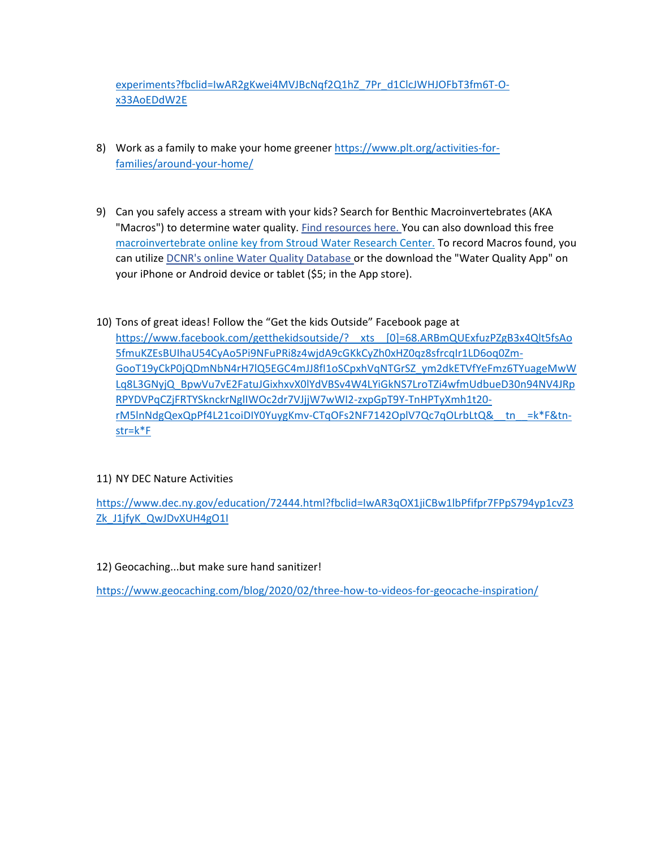[experiments?fbclid=IwAR2gKwei4MVJBcNqf2Q1hZ\\_7Pr\\_d1ClcJWHJOFbT3fm6T-O](https://www.kcedventures.com/blog/backyard-science-lab-and-science-experiments?fbclid=IwAR2gKwei4MVJBcNqf2Q1hZ_7Pr_d1ClcJWHJOFbT3fm6T-O-x33AoEDdW2E)[x33AoEDdW2E](https://www.kcedventures.com/blog/backyard-science-lab-and-science-experiments?fbclid=IwAR2gKwei4MVJBcNqf2Q1hZ_7Pr_d1ClcJWHJOFbT3fm6T-O-x33AoEDdW2E)

- 8) Work as a family to make your home greener [https://www.plt.org/activities-for](https://www.plt.org/activities-for-families/around-your-home/)[families/around-your-home/](https://www.plt.org/activities-for-families/around-your-home/)
- 9) Can you safely access a stream with your kids? Search for Benthic Macroinvertebrates (AKA "Macros") to determine water quality[. Find resources here. Y](http://www.watersheded.dcnr.state.pa.us/studying/biological/index.html)ou can also download this free [macroinvertebrate online key from Stroud Water Research Center.](https://stroudcenter.org/macros/key/?fbclid=IwAR2pmwlR8GO_diWGz-xAISt3Wo1O4i7sbf0U0TsfhXmGPqYoZKelnJP35u0) To record Macros found, you can utilize [DCNR's online Water Quality Database o](http://www.watersheded.dcnr.state.pa.us/database/index.html)r the download the "Water Quality App" on your iPhone or Android device or tablet (\$5; in the App store).
- 10) Tons of great ideas! Follow the "Get the kids Outside" Facebook page at [https://www.facebook.com/getthekidsoutside/?\\_\\_xts\\_\\_\[0\]=68.ARBmQUExfuzPZgB3x4Qlt5fsAo](https://www.facebook.com/getthekidsoutside/?__xts__%5b0%5d=68.ARBmQUExfuzPZgB3x4Qlt5fsAo5fmuKZEsBUIhaU54CyAo5Pi9NFuPRi8z4wjdA9cGKkCyZh0xHZ0qz8sfrcqIr1LD6oq0Zm-GooT19yCkP0jQDmNbN4rH7lQ5EGC4mJJ8fI1oSCpxhVqNTGrSZ_ym2dkETVfYeFmz6TYuageMwWLq8L3GNyjQ_BpwVu7vE2FatuJGixhxvX0lYdVBSv4W4LYiGkNS7LroTZi4wfmUdbueD30n94NV4JRpRPYDVPqCZjFRTYSknckrNglIWOc2dr7VJjjW7wWI2-zxpGpT9Y-TnHPTyXmh1t20-rM5lnNdgQexQpPf4L21coiDIY0YuygKmv-CTqOFs2NF7142OplV7Qc7qOLrbLtQ&__tn__=k*F&tn-str=k*F) [5fmuKZEsBUIhaU54CyAo5Pi9NFuPRi8z4wjdA9cGKkCyZh0xHZ0qz8sfrcqIr1LD6oq0Zm-](https://www.facebook.com/getthekidsoutside/?__xts__%5b0%5d=68.ARBmQUExfuzPZgB3x4Qlt5fsAo5fmuKZEsBUIhaU54CyAo5Pi9NFuPRi8z4wjdA9cGKkCyZh0xHZ0qz8sfrcqIr1LD6oq0Zm-GooT19yCkP0jQDmNbN4rH7lQ5EGC4mJJ8fI1oSCpxhVqNTGrSZ_ym2dkETVfYeFmz6TYuageMwWLq8L3GNyjQ_BpwVu7vE2FatuJGixhxvX0lYdVBSv4W4LYiGkNS7LroTZi4wfmUdbueD30n94NV4JRpRPYDVPqCZjFRTYSknckrNglIWOc2dr7VJjjW7wWI2-zxpGpT9Y-TnHPTyXmh1t20-rM5lnNdgQexQpPf4L21coiDIY0YuygKmv-CTqOFs2NF7142OplV7Qc7qOLrbLtQ&__tn__=k*F&tn-str=k*F)[GooT19yCkP0jQDmNbN4rH7lQ5EGC4mJJ8fI1oSCpxhVqNTGrSZ\\_ym2dkETVfYeFmz6TYuageMwW](https://www.facebook.com/getthekidsoutside/?__xts__%5b0%5d=68.ARBmQUExfuzPZgB3x4Qlt5fsAo5fmuKZEsBUIhaU54CyAo5Pi9NFuPRi8z4wjdA9cGKkCyZh0xHZ0qz8sfrcqIr1LD6oq0Zm-GooT19yCkP0jQDmNbN4rH7lQ5EGC4mJJ8fI1oSCpxhVqNTGrSZ_ym2dkETVfYeFmz6TYuageMwWLq8L3GNyjQ_BpwVu7vE2FatuJGixhxvX0lYdVBSv4W4LYiGkNS7LroTZi4wfmUdbueD30n94NV4JRpRPYDVPqCZjFRTYSknckrNglIWOc2dr7VJjjW7wWI2-zxpGpT9Y-TnHPTyXmh1t20-rM5lnNdgQexQpPf4L21coiDIY0YuygKmv-CTqOFs2NF7142OplV7Qc7qOLrbLtQ&__tn__=k*F&tn-str=k*F) [Lq8L3GNyjQ\\_BpwVu7vE2FatuJGixhxvX0lYdVBSv4W4LYiGkNS7LroTZi4wfmUdbueD30n94NV4JRp](https://www.facebook.com/getthekidsoutside/?__xts__%5b0%5d=68.ARBmQUExfuzPZgB3x4Qlt5fsAo5fmuKZEsBUIhaU54CyAo5Pi9NFuPRi8z4wjdA9cGKkCyZh0xHZ0qz8sfrcqIr1LD6oq0Zm-GooT19yCkP0jQDmNbN4rH7lQ5EGC4mJJ8fI1oSCpxhVqNTGrSZ_ym2dkETVfYeFmz6TYuageMwWLq8L3GNyjQ_BpwVu7vE2FatuJGixhxvX0lYdVBSv4W4LYiGkNS7LroTZi4wfmUdbueD30n94NV4JRpRPYDVPqCZjFRTYSknckrNglIWOc2dr7VJjjW7wWI2-zxpGpT9Y-TnHPTyXmh1t20-rM5lnNdgQexQpPf4L21coiDIY0YuygKmv-CTqOFs2NF7142OplV7Qc7qOLrbLtQ&__tn__=k*F&tn-str=k*F) [RPYDVPqCZjFRTYSknckrNglIWOc2dr7VJjjW7wWI2-zxpGpT9Y-TnHPTyXmh1t20](https://www.facebook.com/getthekidsoutside/?__xts__%5b0%5d=68.ARBmQUExfuzPZgB3x4Qlt5fsAo5fmuKZEsBUIhaU54CyAo5Pi9NFuPRi8z4wjdA9cGKkCyZh0xHZ0qz8sfrcqIr1LD6oq0Zm-GooT19yCkP0jQDmNbN4rH7lQ5EGC4mJJ8fI1oSCpxhVqNTGrSZ_ym2dkETVfYeFmz6TYuageMwWLq8L3GNyjQ_BpwVu7vE2FatuJGixhxvX0lYdVBSv4W4LYiGkNS7LroTZi4wfmUdbueD30n94NV4JRpRPYDVPqCZjFRTYSknckrNglIWOc2dr7VJjjW7wWI2-zxpGpT9Y-TnHPTyXmh1t20-rM5lnNdgQexQpPf4L21coiDIY0YuygKmv-CTqOFs2NF7142OplV7Qc7qOLrbLtQ&__tn__=k*F&tn-str=k*F) [rM5lnNdgQexQpPf4L21coiDIY0YuygKmv-CTqOFs2NF7142OplV7Qc7qOLrbLtQ&\\_\\_tn\\_\\_=k\\*F&tn](https://www.facebook.com/getthekidsoutside/?__xts__%5b0%5d=68.ARBmQUExfuzPZgB3x4Qlt5fsAo5fmuKZEsBUIhaU54CyAo5Pi9NFuPRi8z4wjdA9cGKkCyZh0xHZ0qz8sfrcqIr1LD6oq0Zm-GooT19yCkP0jQDmNbN4rH7lQ5EGC4mJJ8fI1oSCpxhVqNTGrSZ_ym2dkETVfYeFmz6TYuageMwWLq8L3GNyjQ_BpwVu7vE2FatuJGixhxvX0lYdVBSv4W4LYiGkNS7LroTZi4wfmUdbueD30n94NV4JRpRPYDVPqCZjFRTYSknckrNglIWOc2dr7VJjjW7wWI2-zxpGpT9Y-TnHPTyXmh1t20-rM5lnNdgQexQpPf4L21coiDIY0YuygKmv-CTqOFs2NF7142OplV7Qc7qOLrbLtQ&__tn__=k*F&tn-str=k*F)[str=k\\*F](https://www.facebook.com/getthekidsoutside/?__xts__%5b0%5d=68.ARBmQUExfuzPZgB3x4Qlt5fsAo5fmuKZEsBUIhaU54CyAo5Pi9NFuPRi8z4wjdA9cGKkCyZh0xHZ0qz8sfrcqIr1LD6oq0Zm-GooT19yCkP0jQDmNbN4rH7lQ5EGC4mJJ8fI1oSCpxhVqNTGrSZ_ym2dkETVfYeFmz6TYuageMwWLq8L3GNyjQ_BpwVu7vE2FatuJGixhxvX0lYdVBSv4W4LYiGkNS7LroTZi4wfmUdbueD30n94NV4JRpRPYDVPqCZjFRTYSknckrNglIWOc2dr7VJjjW7wWI2-zxpGpT9Y-TnHPTyXmh1t20-rM5lnNdgQexQpPf4L21coiDIY0YuygKmv-CTqOFs2NF7142OplV7Qc7qOLrbLtQ&__tn__=k*F&tn-str=k*F)

## 11) NY DEC Nature Activities

[https://www.dec.ny.gov/education/72444.html?fbclid=IwAR3qOX1jiCBw1lbPfifpr7FPpS794yp1cvZ3](https://www.dec.ny.gov/education/72444.html?fbclid=IwAR3qOX1jiCBw1lbPfifpr7FPpS794yp1cvZ3Zk_J1jfyK_QwJDvXUH4gO1I) [Zk\\_J1jfyK\\_QwJDvXUH4gO1I](https://www.dec.ny.gov/education/72444.html?fbclid=IwAR3qOX1jiCBw1lbPfifpr7FPpS794yp1cvZ3Zk_J1jfyK_QwJDvXUH4gO1I)

12) Geocaching...but make sure hand sanitizer!

<https://www.geocaching.com/blog/2020/02/three-how-to-videos-for-geocache-inspiration/>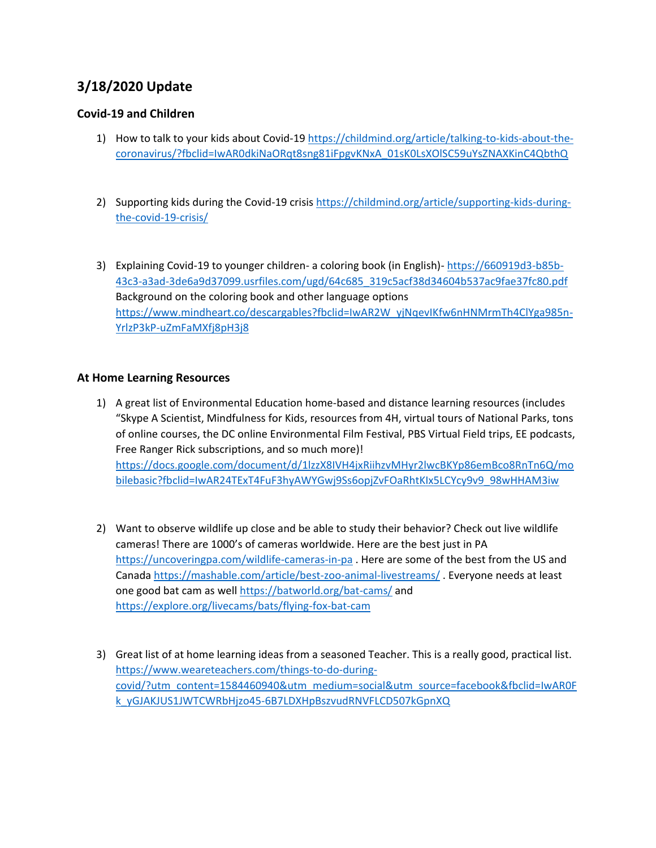# **3/18/2020 Update**

# **Covid-19 and Children**

- 1) How to talk to your kids about Covid-1[9 https://childmind.org/article/talking-to-kids-about-the](https://childmind.org/article/talking-to-kids-about-the-coronavirus/?fbclid=IwAR0dkiNaORqt8sng81iFpgvKNxA_01sK0LsXOlSC59uYsZNAXKinC4QbthQ)[coronavirus/?fbclid=IwAR0dkiNaORqt8sng81iFpgvKNxA\\_01sK0LsXOlSC59uYsZNAXKinC4QbthQ](https://childmind.org/article/talking-to-kids-about-the-coronavirus/?fbclid=IwAR0dkiNaORqt8sng81iFpgvKNxA_01sK0LsXOlSC59uYsZNAXKinC4QbthQ)
- 2) Supporting kids during the Covid-19 crisis [https://childmind.org/article/supporting-kids-during](https://childmind.org/article/supporting-kids-during-the-covid-19-crisis/)[the-covid-19-crisis/](https://childmind.org/article/supporting-kids-during-the-covid-19-crisis/)
- 3) Explaining Covid-19 to younger children- a coloring book (in English)- [https://660919d3-b85b-](https://660919d3-b85b-43c3-a3ad-3de6a9d37099.usrfiles.com/ugd/64c685_319c5acf38d34604b537ac9fae37fc80.pdf)[43c3-a3ad-3de6a9d37099.usrfiles.com/ugd/64c685\\_319c5acf38d34604b537ac9fae37fc80.pdf](https://660919d3-b85b-43c3-a3ad-3de6a9d37099.usrfiles.com/ugd/64c685_319c5acf38d34604b537ac9fae37fc80.pdf) Background on the coloring book and other language options [https://www.mindheart.co/descargables?fbclid=IwAR2W\\_yjNqevIKfw6nHNMrmTh4ClYga985n-](https://www.mindheart.co/descargables?fbclid=IwAR2W_yjNqevIKfw6nHNMrmTh4ClYga985n-YrlzP3kP-uZmFaMXfj8pH3j8)[YrlzP3kP-uZmFaMXfj8pH3j8](https://www.mindheart.co/descargables?fbclid=IwAR2W_yjNqevIKfw6nHNMrmTh4ClYga985n-YrlzP3kP-uZmFaMXfj8pH3j8)

#### **At Home Learning Resources**

- 1) A great list of Environmental Education home-based and distance learning resources (includes "Skype A Scientist, Mindfulness for Kids, resources from 4H, virtual tours of National Parks, tons of online courses, the DC online Environmental Film Festival, PBS Virtual Field trips, EE podcasts, Free Ranger Rick subscriptions, and so much more)! [https://docs.google.com/document/d/1lzzX8IVH4jxRiihzvMHyr2lwcBKYp86emBco8RnTn6Q/mo](https://docs.google.com/document/d/1lzzX8IVH4jxRiihzvMHyr2lwcBKYp86emBco8RnTn6Q/mobilebasic?fbclid=IwAR24TExT4FuF3hyAWYGwj9Ss6opjZvFOaRhtKIx5LCYcy9v9_98wHHAM3iw) [bilebasic?fbclid=IwAR24TExT4FuF3hyAWYGwj9Ss6opjZvFOaRhtKIx5LCYcy9v9\\_98wHHAM3iw](https://docs.google.com/document/d/1lzzX8IVH4jxRiihzvMHyr2lwcBKYp86emBco8RnTn6Q/mobilebasic?fbclid=IwAR24TExT4FuF3hyAWYGwj9Ss6opjZvFOaRhtKIx5LCYcy9v9_98wHHAM3iw)
- 2) Want to observe wildlife up close and be able to study their behavior? Check out live wildlife cameras! There are 1000's of cameras worldwide. Here are the best just in PA <https://uncoveringpa.com/wildlife-cameras-in-pa> . Here are some of the best from the US and Canad[a https://mashable.com/article/best-zoo-animal-livestreams/](https://mashable.com/article/best-zoo-animal-livestreams/) . Everyone needs at least one good bat cam as well<https://batworld.org/bat-cams/> and <https://explore.org/livecams/bats/flying-fox-bat-cam>
- 3) Great list of at home learning ideas from a seasoned Teacher. This is a really good, practical list. [https://www.weareteachers.com/things-to-do-during](https://www.weareteachers.com/things-to-do-during-covid/?utm_content=1584460940&utm_medium=social&utm_source=facebook&fbclid=IwAR0Fk_yGJAKJUS1JWTCWRbHjzo45-6B7LDXHpBszvudRNVFLCD507kGpnXQ)[covid/?utm\\_content=1584460940&utm\\_medium=social&utm\\_source=facebook&fbclid=IwAR0F](https://www.weareteachers.com/things-to-do-during-covid/?utm_content=1584460940&utm_medium=social&utm_source=facebook&fbclid=IwAR0Fk_yGJAKJUS1JWTCWRbHjzo45-6B7LDXHpBszvudRNVFLCD507kGpnXQ) [k\\_yGJAKJUS1JWTCWRbHjzo45-6B7LDXHpBszvudRNVFLCD507kGpnXQ](https://www.weareteachers.com/things-to-do-during-covid/?utm_content=1584460940&utm_medium=social&utm_source=facebook&fbclid=IwAR0Fk_yGJAKJUS1JWTCWRbHjzo45-6B7LDXHpBszvudRNVFLCD507kGpnXQ)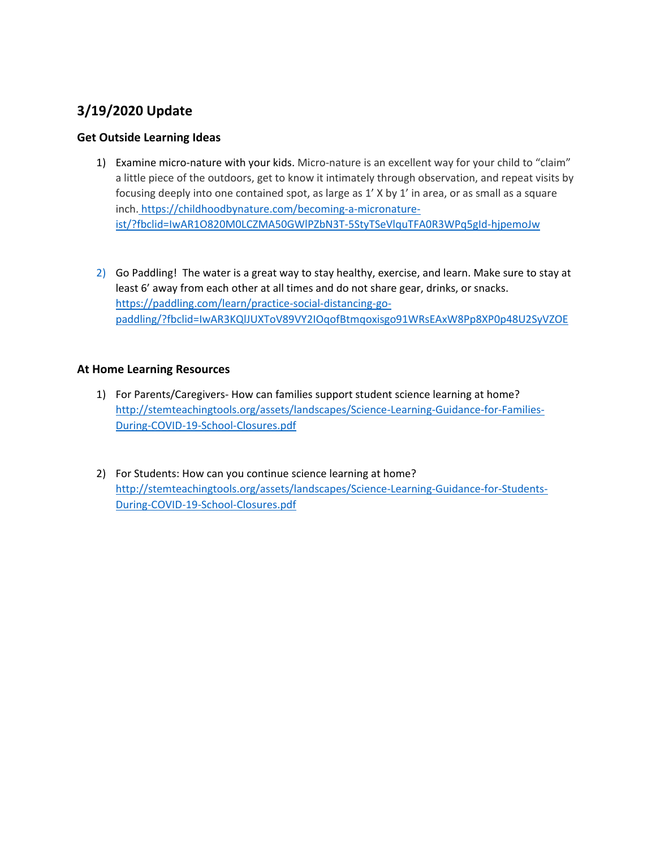# **3/19/2020 Update**

# **Get Outside Learning Ideas**

- 1) Examine micro-nature with your kids. Micro-nature is an excellent way for your child to "claim" a little piece of the outdoors, get to know it intimately through observation, and repeat visits by focusing deeply into one contained spot, as large as 1' X by 1' in area, or as small as a square inch. [https://childhoodbynature.com/becoming-a-micronature](https://childhoodbynature.com/becoming-a-micronature-ist/?fbclid=IwAR1O820M0LCZMA50GWlPZbN3T-5StyTSeVlquTFA0R3WPq5gId-hjpemoJw)[ist/?fbclid=IwAR1O820M0LCZMA50GWlPZbN3T-5StyTSeVlquTFA0R3WPq5gId-hjpemoJw](https://childhoodbynature.com/becoming-a-micronature-ist/?fbclid=IwAR1O820M0LCZMA50GWlPZbN3T-5StyTSeVlquTFA0R3WPq5gId-hjpemoJw)
- 2) Go Paddling! The water is a great way to stay healthy, exercise, and learn. Make sure to stay at least 6' away from each other at all times and do not share gear, drinks, or snacks. [https://paddling.com/learn/practice-social-distancing-go](https://paddling.com/learn/practice-social-distancing-go-paddling/?fbclid=IwAR3KQlJUXToV89VY2IOqofBtmqoxisgo91WRsEAxW8Pp8XP0p48U2SyVZOE)[paddling/?fbclid=IwAR3KQlJUXToV89VY2IOqofBtmqoxisgo91WRsEAxW8Pp8XP0p48U2SyVZOE](https://paddling.com/learn/practice-social-distancing-go-paddling/?fbclid=IwAR3KQlJUXToV89VY2IOqofBtmqoxisgo91WRsEAxW8Pp8XP0p48U2SyVZOE)

## **At Home Learning Resources**

- 1) For Parents/Caregivers- How can families support student science learning at home? [http://stemteachingtools.org/assets/landscapes/Science-Learning-Guidance-for-Families-](http://stemteachingtools.org/assets/landscapes/Science-Learning-Guidance-for-Families-During-COVID-19-School-Closures.pdf)[During-COVID-19-School-Closures.pdf](http://stemteachingtools.org/assets/landscapes/Science-Learning-Guidance-for-Families-During-COVID-19-School-Closures.pdf)
- 2) For Students: How can you continue science learning at home? [http://stemteachingtools.org/assets/landscapes/Science-Learning-Guidance-for-Students-](http://stemteachingtools.org/assets/landscapes/Science-Learning-Guidance-for-Students-During-COVID-19-School-Closures.pdf)[During-COVID-19-School-Closures.pdf](http://stemteachingtools.org/assets/landscapes/Science-Learning-Guidance-for-Students-During-COVID-19-School-Closures.pdf)